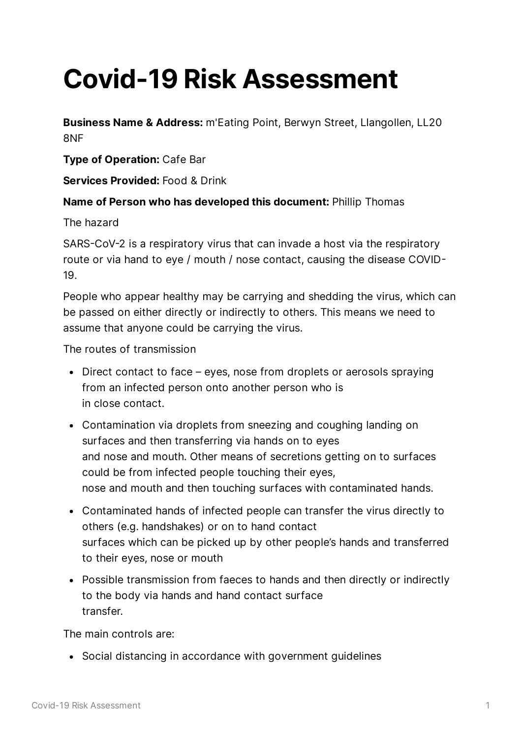# **Covid-19 Risk Assessment**

**Business Name & Address:** m'Eating Point, Berwyn Street, Llangollen, LL20 8NF

**Type of Operation:** Cafe Bar

**Services Provided:** Food & Drink

## **Name of Person who has developed this document:** Phillip Thomas

The hazard

SARS-CoV-2 is a respiratory virus that can invade a host via the respiratory route or via hand to eye / mouth / nose contact, causing the disease COVID 19.

People who appear healthy may be carrying and shedding the virus, which can be passed on either directly or indirectly to others. This means we need to assume that anyone could be carrying the virus.

The routes of transmission

- Direct contact to face eyes, nose from droplets or aerosols spraying from an infected person onto another person who is in close contact.
- Contamination via droplets from sneezing and coughing landing on surfaces and then transferring via hands on to eyes and nose and mouth. Other means of secretions getting on to surfaces could be from infected people touching their eyes, nose and mouth and then touching surfaces with contaminated hands.
- Contaminated hands of infected people can transfer the virus directly to others (e.g. handshakes) or on to hand contact surfaces which can be picked up by other people's hands and transferred to their eyes, nose or mouth
- Possible transmission from faeces to hands and then directly or indirectly to the body via hands and hand contact surface transfer.

The main controls are:

Social distancing in accordance with government guidelines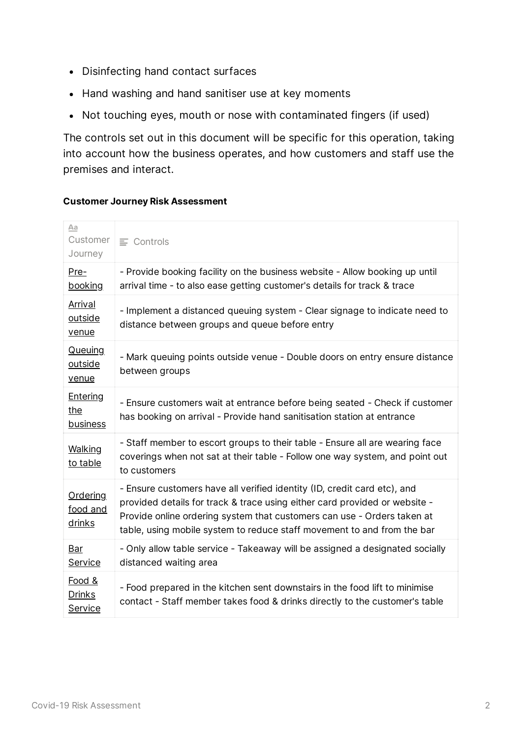- Disinfecting hand contact surfaces
- Hand washing and hand sanitiser use at key moments
- Not touching eyes, mouth or nose with contaminated fingers (if used)

The controls set out in this document will be specific for this operation, taking into account how the business operates, and how customers and staff use the premises and interact.

#### **Customer Journey Risk Assessment**

| Aa<br>Customer<br>Journey                 | $\equiv$ Controls                                                                                                                                                                                                                                                                                            |
|-------------------------------------------|--------------------------------------------------------------------------------------------------------------------------------------------------------------------------------------------------------------------------------------------------------------------------------------------------------------|
| $Pre-$<br>booking                         | - Provide booking facility on the business website - Allow booking up until<br>arrival time - to also ease getting customer's details for track & trace                                                                                                                                                      |
| <u>Arrival</u><br>outside<br>venue        | - Implement a distanced queuing system - Clear signage to indicate need to<br>distance between groups and queue before entry                                                                                                                                                                                 |
| Queuing<br>outside<br><u>venue</u>        | - Mark queuing points outside venue - Double doors on entry ensure distance<br>between groups                                                                                                                                                                                                                |
| <b>Entering</b><br>the<br><b>business</b> | - Ensure customers wait at entrance before being seated - Check if customer<br>has booking on arrival - Provide hand sanitisation station at entrance                                                                                                                                                        |
| <b>Walking</b><br>to table                | - Staff member to escort groups to their table - Ensure all are wearing face<br>coverings when not sat at their table - Follow one way system, and point out<br>to customers                                                                                                                                 |
| Ordering<br>food and<br>drinks            | - Ensure customers have all verified identity (ID, credit card etc), and<br>provided details for track & trace using either card provided or website -<br>Provide online ordering system that customers can use - Orders taken at<br>table, using mobile system to reduce staff movement to and from the bar |
| <u>Bar</u><br><b>Service</b>              | - Only allow table service - Takeaway will be assigned a designated socially<br>distanced waiting area                                                                                                                                                                                                       |
| Food &<br><b>Drinks</b><br><b>Service</b> | - Food prepared in the kitchen sent downstairs in the food lift to minimise<br>contact - Staff member takes food & drinks directly to the customer's table                                                                                                                                                   |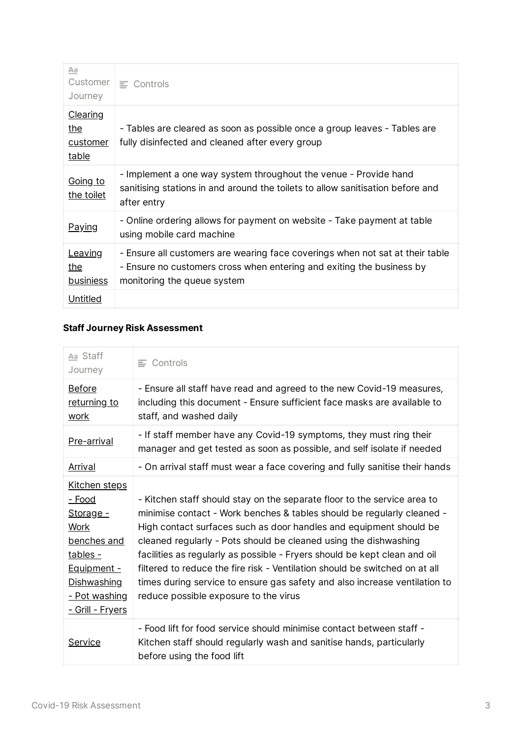| Aa<br>Journey                                             | Customer $\equiv$ Controls                                                                                                                                                            |
|-----------------------------------------------------------|---------------------------------------------------------------------------------------------------------------------------------------------------------------------------------------|
| <u>Clearing</u><br><u>the</u><br><u>customer</u><br>table | - Tables are cleared as soon as possible once a group leaves - Tables are<br>fully disinfected and cleaned after every group                                                          |
| <u>Going to</u><br>the toilet                             | - Implement a one way system throughout the venue - Provide hand<br>sanitising stations in and around the toilets to allow sanitisation before and<br>after entry                     |
| <u>Paying</u>                                             | - Online ordering allows for payment on website - Take payment at table<br>using mobile card machine                                                                                  |
| Leaving<br><u>the</u><br><u>businiess</u>                 | - Ensure all customers are wearing face coverings when not sat at their table<br>- Ensure no customers cross when entering and exiting the business by<br>monitoring the queue system |
| Untitled                                                  |                                                                                                                                                                                       |

## **Staff Journey Risk Assessment**

| Aa Staff<br>Journey                                                                                                                                                                  | $\equiv$ Controls                                                                                                                                                                                                                                                                                                                                                                                                                                                                                                                                                               |
|--------------------------------------------------------------------------------------------------------------------------------------------------------------------------------------|---------------------------------------------------------------------------------------------------------------------------------------------------------------------------------------------------------------------------------------------------------------------------------------------------------------------------------------------------------------------------------------------------------------------------------------------------------------------------------------------------------------------------------------------------------------------------------|
| <b>Before</b><br>returning to<br><u>work</u>                                                                                                                                         | - Ensure all staff have read and agreed to the new Covid-19 measures,<br>including this document - Ensure sufficient face masks are available to<br>staff, and washed daily                                                                                                                                                                                                                                                                                                                                                                                                     |
| Pre-arrival                                                                                                                                                                          | - If staff member have any Covid-19 symptoms, they must ring their<br>manager and get tested as soon as possible, and self isolate if needed                                                                                                                                                                                                                                                                                                                                                                                                                                    |
| <b>Arrival</b>                                                                                                                                                                       | - On arrival staff must wear a face covering and fully sanitise their hands                                                                                                                                                                                                                                                                                                                                                                                                                                                                                                     |
| <u>Kitchen steps</u><br><u>- Food</u><br>Storage -<br><b>Work</b><br>benches and<br>tables -<br><u>Equipment -</u><br>Dishwashing<br><u>- Pot washing</u><br><u>- Grill - Fryers</u> | - Kitchen staff should stay on the separate floor to the service area to<br>minimise contact - Work benches & tables should be regularly cleaned -<br>High contact surfaces such as door handles and equipment should be<br>cleaned regularly - Pots should be cleaned using the dishwashing<br>facilities as regularly as possible - Fryers should be kept clean and oil<br>filtered to reduce the fire risk - Ventilation should be switched on at all<br>times during service to ensure gas safety and also increase ventilation to<br>reduce possible exposure to the virus |
| Service                                                                                                                                                                              | - Food lift for food service should minimise contact between staff -<br>Kitchen staff should regularly wash and sanitise hands, particularly<br>before using the food lift                                                                                                                                                                                                                                                                                                                                                                                                      |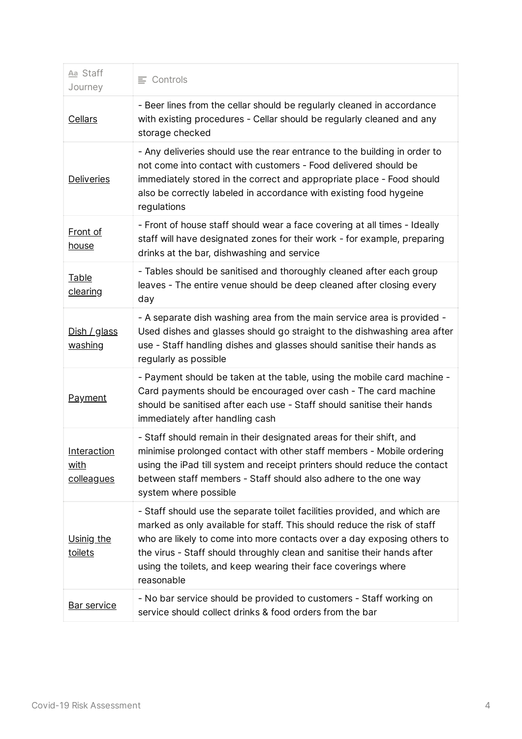| Aa Staff<br>Journey                      | $\equiv$ Controls                                                                                                                                                                                                                                                                                                                                                                           |  |
|------------------------------------------|---------------------------------------------------------------------------------------------------------------------------------------------------------------------------------------------------------------------------------------------------------------------------------------------------------------------------------------------------------------------------------------------|--|
| <b>Cellars</b>                           | - Beer lines from the cellar should be regularly cleaned in accordance<br>with existing procedures - Cellar should be regularly cleaned and any<br>storage checked                                                                                                                                                                                                                          |  |
| <b>Deliveries</b>                        | - Any deliveries should use the rear entrance to the building in order to<br>not come into contact with customers - Food delivered should be<br>immediately stored in the correct and appropriate place - Food should<br>also be correctly labeled in accordance with existing food hygeine<br>regulations                                                                                  |  |
| <b>Front of</b><br>house                 | - Front of house staff should wear a face covering at all times - Ideally<br>staff will have designated zones for their work - for example, preparing<br>drinks at the bar, dishwashing and service                                                                                                                                                                                         |  |
| Table<br><u>clearing</u>                 | - Tables should be sanitised and thoroughly cleaned after each group<br>leaves - The entire venue should be deep cleaned after closing every<br>day                                                                                                                                                                                                                                         |  |
| Dish / glass<br>washing                  | - A separate dish washing area from the main service area is provided -<br>Used dishes and glasses should go straight to the dishwashing area after<br>use - Staff handling dishes and glasses should sanitise their hands as<br>regularly as possible                                                                                                                                      |  |
| <b>Payment</b>                           | - Payment should be taken at the table, using the mobile card machine -<br>Card payments should be encouraged over cash - The card machine<br>should be sanitised after each use - Staff should sanitise their hands<br>immediately after handling cash                                                                                                                                     |  |
| Interaction<br><u>with</u><br>colleagues | - Staff should remain in their designated areas for their shift, and<br>minimise prolonged contact with other staff members - Mobile ordering<br>using the iPad till system and receipt printers should reduce the contact<br>between staff members - Staff should also adhere to the one way<br>system where possible                                                                      |  |
| Usinig the<br>toilets                    | - Staff should use the separate toilet facilities provided, and which are<br>marked as only available for staff. This should reduce the risk of staff<br>who are likely to come into more contacts over a day exposing others to<br>the virus - Staff should throughly clean and sanitise their hands after<br>using the toilets, and keep wearing their face coverings where<br>reasonable |  |
| Bar service                              | - No bar service should be provided to customers - Staff working on<br>service should collect drinks & food orders from the bar                                                                                                                                                                                                                                                             |  |